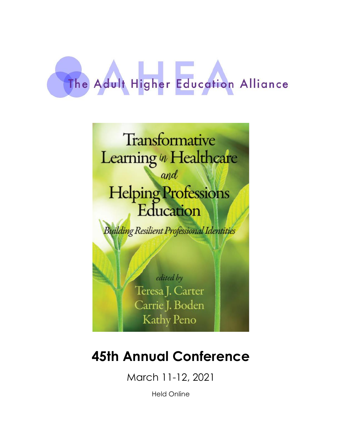# The Adult Higher Education Alliance



## **45th Annual Conference**

March 11-12, 2021

Held Online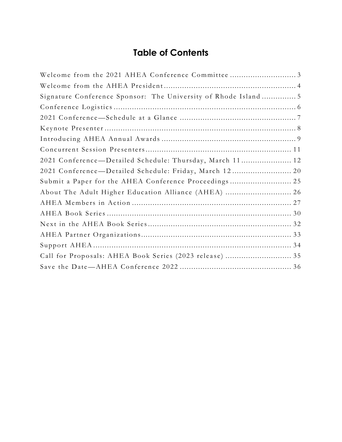## **Table of Contents**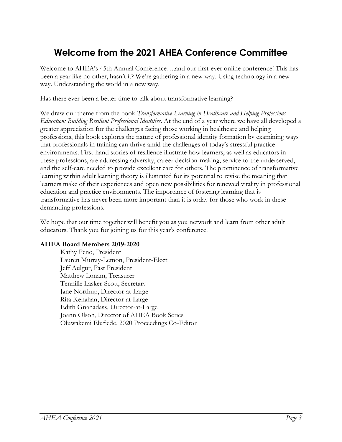## <span id="page-2-0"></span>**Welcome from the 2021 AHEA Conference Committee**

Welcome to AHEA's 45th Annual Conference….and our first-ever online conference! This has been a year like no other, hasn't it? We're gathering in a new way. Using technology in a new way. Understanding the world in a new way.

Has there ever been a better time to talk about transformative learning?

We draw our theme from the book *Transformative Learning in Healthcare and Helping Professions Education: Building Resilient Professional Identities*. At the end of a year where we have all developed a greater appreciation for the challenges facing those working in healthcare and helping professions, this book explores the nature of professional identity formation by examining ways that professionals in training can thrive amid the challenges of today's stressful practice environments. First-hand stories of resilience illustrate how learners, as well as educators in these professions, are addressing adversity, career decision-making, service to the underserved, and the self-care needed to provide excellent care for others. The prominence of transformative learning within adult learning theory is illustrated for its potential to revise the meaning that learners make of their experiences and open new possibilities for renewed vitality in professional education and practice environments. The importance of fostering learning that is transformative has never been more important than it is today for those who work in these demanding professions.

We hope that our time together will benefit you as you network and learn from other adult educators. Thank you for joining us for this year's conference.

#### **AHEA Board Members 2019-2020**

Kathy Peno, President Lauren Murray-Lemon, President-Elect Jeff Aulgur, Past President Matthew Lonam, Treasurer Tennille Lasker-Scott, Secretary Jane Northup, Director-at-Large Rita Kenahan, Director-at-Large Edith Gnanadass, Director-at-Large Joann Olson, Director of AHEA Book Series Oluwakemi Elufiede, 2020 Proceedings Co-Editor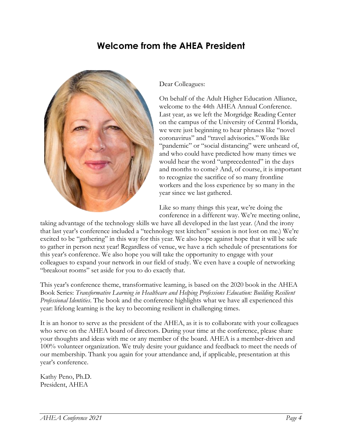## **Welcome from the AHEA President**

<span id="page-3-0"></span>

Dear Colleagues:

On behalf of the Adult Higher Education Alliance, welcome to the 44th AHEA Annual Conference. Last year, as we left the Morgridge Reading Center on the campus of the University of Central Florida, we were just beginning to hear phrases like "novel coronavirus" and "travel advisories." Words like "pandemic" or "social distancing" were unheard of, and who could have predicted how many times we would hear the word "unprecedented" in the days and months to come? And, of course, it is important to recognize the sacrifice of so many frontline workers and the loss experience by so many in the year since we last gathered.

Like so many things this year, we're doing the conference in a different way. We're meeting online,

taking advantage of the technology skills we have all developed in the last year. (And the irony that last year's conference included a "technology test kitchen" session is not lost on me.) We're excited to be "gathering" in this way for this year. We also hope against hope that it will be safe to gather in person next year! Regardless of venue, we have a rich schedule of presentations for this year's conference. We also hope you will take the opportunity to engage with your colleagues to expand your network in our field of study. We even have a couple of networking "breakout rooms" set aside for you to do exactly that.

This year's conference theme, transformative learning, is based on the 2020 book in the AHEA Book Series: *Transformative Learning in Healthcare and Helping Professions Education: Building Resilient Professional Identities*. The book and the conference highlights what we have all experienced this year: lifelong learning is the key to becoming resilient in challenging times.

It is an honor to serve as the president of the AHEA, as it is to collaborate with your colleagues who serve on the AHEA board of directors. During your time at the conference, please share your thoughts and ideas with me or any member of the board. AHEA is a member-driven and 100% volunteer organization. We truly desire your guidance and feedback to meet the needs of our membership. Thank you again for your attendance and, if applicable, presentation at this year's conference.

Kathy Peno, Ph.D. President, AHEA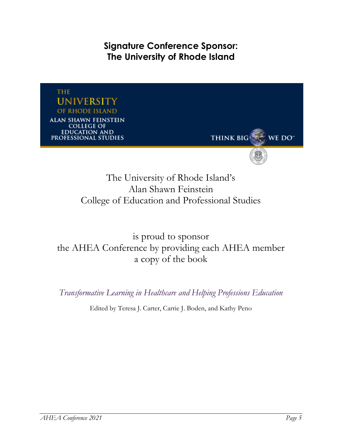**Signature Conference Sponsor: The University of Rhode Island**

<span id="page-4-0"></span>

The University of Rhode Island's Alan Shawn Feinstein College of Education and Professional Studies

is proud to sponsor the AHEA Conference by providing each AHEA member a copy of the book

*Transformative Learning in Healthcare and Helping Professions Education*

Edited by Teresa J. Carter, Carrie J. Boden, and Kathy Peno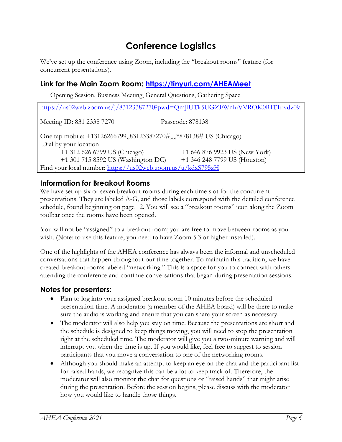## **Conference Logistics**

<span id="page-5-0"></span>We've set up the conference using Zoom, including the "breakout rooms" feature (for concurrent presentations).

#### **Link for the Main Zoom Room: <https://tinyurl.com/AHEAMeet>**

Opening Session, Business Meeting, General Questions, Gathering Space

<https://us02web.zoom.us/j/83123387270?pwd=QmJlUTk5UGZFWnluVVROK0RIT1pvdz09> Meeting ID: 831 2338 7270 Passcode: 878138 One tap mobile: +13126266799,,83123387270#,,,,\*878138# US (Chicago) Dial by your location +1 312 626 6799 US (Chicago) +1 646 876 9923 US (New York) +1 301 715 8592 US (Washington DC) +1 346 248 7799 US (Houston) Find your local number:<https://us02web.zoom.us/u/kdxS795zH>

#### **Information for Breakout Rooms**

We have set up six or seven breakout rooms during each time slot for the concurrent presentations. They are labeled A-G, and those labels correspond with the detailed conference schedule, found beginning on page 12. You will see a "breakout rooms" icon along the Zoom toolbar once the rooms have been opened.

You will not be "assigned" to a breakout room; you are free to move between rooms as you wish. (Note: to use this feature, you need to have Zoom 5.3 or higher installed).

One of the highlights of the AHEA conference has always been the informal and unscheduled conversations that happen throughout our time together. To maintain this tradition, we have created breakout rooms labeled "networking." This is a space for you to connect with others attending the conference and continue conversations that began during presentation sessions.

#### **Notes for presenters:**

- Plan to log into your assigned breakout room 10 minutes before the scheduled presentation time. A moderator (a member of the AHEA board) will be there to make sure the audio is working and ensure that you can share your screen as necessary.
- The moderator will also help you stay on time. Because the presentations are short and the schedule is designed to keep things moving, you will need to stop the presentation right at the scheduled time. The moderator will give you a two-minute warning and will interrupt you when the time is up. If you would like, feel free to suggest to session participants that you move a conversation to one of the networking rooms.
- Although you should make an attempt to keep an eye on the chat and the participant list for raised hands, we recognize this can be a lot to keep track of. Therefore, the moderator will also monitor the chat for questions or "raised hands" that might arise during the presentation. Before the session begins, please discuss with the moderator how you would like to handle those things.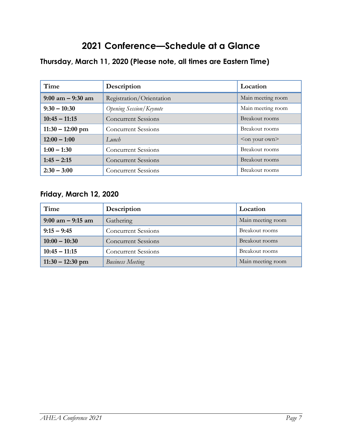## **2021 Conference—Schedule at a Glance**

#### <span id="page-6-0"></span>**Thursday, March 11, 2020 (Please note, all times are Eastern Time)**

| Time                 | Description                    | Location                 |
|----------------------|--------------------------------|--------------------------|
| $9:00$ am $-9:30$ am | Registration/Orientation       | Main meeting room        |
| $9:30 - 10:30$       | <b>Opening Session/Keynote</b> | Main meeting room        |
| $10:45 - 11:15$      | <b>Concurrent Sessions</b>     | Breakout rooms           |
| $11:30 - 12:00$ pm   | <b>Concurrent Sessions</b>     | Breakout rooms           |
| $12:00 - 1:00$       | Lunch                          | <on own="" your=""></on> |
| $1:00 - 1:30$        | <b>Concurrent Sessions</b>     | Breakout rooms           |
| $1:45 - 2:15$        | <b>Concurrent Sessions</b>     | Breakout rooms           |
| $2:30 - 3:00$        | <b>Concurrent Sessions</b>     | Breakout rooms           |

#### **Friday, March 12, 2020**

| Time                 | Description                | Location          |
|----------------------|----------------------------|-------------------|
| $9:00$ am $-9:15$ am | Gathering                  | Main meeting room |
| $9:15 - 9:45$        | <b>Concurrent Sessions</b> | Breakout rooms    |
| $10:00 - 10:30$      | <b>Concurrent Sessions</b> | Breakout rooms    |
| $10:45 - 11:15$      | <b>Concurrent Sessions</b> | Breakout rooms    |
| $11:30 - 12:30$ pm   | <b>Business Meeting</b>    | Main meeting room |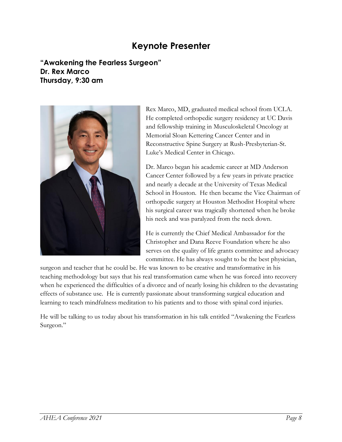## **Keynote Presenter**

<span id="page-7-0"></span>**"Awakening the Fearless Surgeon" Dr. Rex Marco Thursday, 9:30 am**



Rex Marco, MD, graduated medical school from UCLA. He completed orthopedic surgery residency at UC Davis and fellowship training in Musculoskeletal Oncology at Memorial Sloan Kettering Cancer Center and in Reconstructive Spine Surgery at Rush-Presbyterian-St. Luke's Medical Center in Chicago.

Dr. Marco began his academic career at MD Anderson Cancer Center followed by a few years in private practice and nearly a decade at the University of Texas Medical School in Houston. He then became the Vice Chairman of orthopedic surgery at Houston Methodist Hospital where his surgical career was tragically shortened when he broke his neck and was paralyzed from the neck down.

He is currently the Chief Medical Ambassador for the Christopher and Dana Reeve Foundation where he also serves on the quality of life grants committee and advocacy committee. He has always sought to be the best physician,

surgeon and teacher that he could be. He was known to be creative and transformative in his teaching methodology but says that his real transformation came when he was forced into recovery when he experienced the difficulties of a divorce and of nearly losing his children to the devastating effects of substance use. He is currently passionate about transforming surgical education and learning to teach mindfulness meditation to his patients and to those with spinal cord injuries.

He will be talking to us today about his transformation in his talk entitled "Awakening the Fearless Surgeon."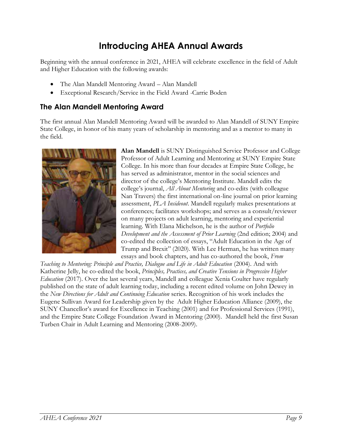## **Introducing AHEA Annual Awards**

<span id="page-8-0"></span>Beginning with the annual conference in 2021, AHEA will celebrate excellence in the field of Adult and Higher Education with the following awards:

- The Alan Mandell Mentoring Award Alan Mandell
- Exceptional Research/Service in the Field Award -Carrie Boden

#### **The Alan Mandell Mentoring Award**

The first annual Alan Mandell Mentoring Award will be awarded to Alan Mandell of SUNY Empire State College, in honor of his many years of scholarship in mentoring and as a mentor to many in the field.



**Alan Mandell** is SUNY Distinguished Service Professor and College Professor of Adult Learning and Mentoring at SUNY Empire State College. In his more than four decades at Empire State College, he has served as administrator, mentor in the social sciences and director of the college's Mentoring Institute. Mandell edits the college's journal, *All About Mentoring* and co-edits (with colleague Nan Travers) the first international on-line journal on prior learning assessment, *PLA Insideout*. Mandell regularly makes presentations at conferences; facilitates workshops; and serves as a consult/reviewer on many projects on adult learning, mentoring and experiential learning. With Elana Michelson, he is the author of *Portfolio Development and the Assessment of Prior Learning* (2nd edition; 2004) and co-edited the collection of essays, "Adult Education in the Age of Trump and Brexit" (2020). With Lee Herman, he has written many essays and book chapters, and has co-authored the book, *From* 

Teaching to Mentoring: Principle and Practice, Dialogue and Life in Adult Education (2004). And with Katherine Jelly, he co-edited the book, *Principles, Practices, and Creative Tensions in Progressive Higher Education* (2017). Over the last several years, Mandell and colleague Xenia Coulter have regularly published on the state of adult learning today, including a recent edited volume on John Dewey in the *New Directions for Adult and Continuing Education* series. Recognition of his work includes the Eugene Sullivan Award for Leadership given by the Adult Higher Education Alliance (2009), the SUNY Chancellor's award for Excellence in Teaching (2001) and for Professional Services (1991), and the Empire State College Foundation Award in Mentoring (2000). Mandell held the first Susan Turben Chair in Adult Learning and Mentoring (2008-2009).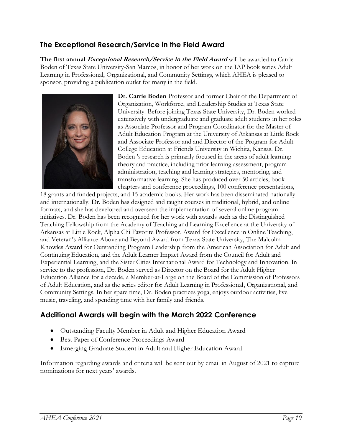#### **The Exceptional Research/Service in the Field Award**

**The first annual Exceptional Research/Service in the Field Award** will be awarded to Carrie Boden of Texas State University-San Marcos, in honor of her work on the IAP book series Adult Learning in Professional, Organizational, and Community Settings, which AHEA is pleased to sponsor, providing a publication outlet for many in the field.



**Dr. Carrie Boden** Professor and former Chair of the Department of Organization, Workforce, and Leadership Studies at Texas State University. Before joining Texas State University, Dr. Boden worked extensively with undergraduate and graduate adult students in her roles as Associate Professor and Program Coordinator for the Master of Adult Education Program at the University of Arkansas at Little Rock and Associate Professor and and Director of the Program for Adult College Education at Friends University in Wichita, Kansas. Dr. Boden 's research is primarily focused in the areas of adult learning theory and practice, including prior learning assessment, program administration, teaching and learning strategies, mentoring, and transformative learning. She has produced over 50 articles, book chapters and conference proceedings, 100 conference presentations,

18 grants and funded projects, and 15 academic books. Her work has been disseminated nationally and internationally. Dr. Boden has designed and taught courses in traditional, hybrid, and online formats, and she has developed and overseen the implementation of several online program initiatives. Dr. Boden has been recognized for her work with awards such as the Distinguished Teaching Fellowship from the Academy of Teaching and Learning Excellence at the University of Arkansas at Little Rock, Alpha Chi Favorite Professor, Award for Excellence in Online Teaching, and Veteran's Alliance Above and Beyond Award from Texas State University, The Malcolm Knowles Award for Outstanding Program Leadership from the American Association for Adult and Continuing Education, and the Adult Learner Impact Award from the Council for Adult and Experiential Learning, and the Sister Cities International Award for Technology and Innovation. In service to the profession, Dr. Boden served as Director on the Board for the Adult Higher Education Alliance for a decade, a Member-at-Large on the Board of the Commission of Professors of Adult Education, and as the series editor for Adult Learning in Professional, Organizational, and Community Settings. In her spare time, Dr. Boden practices yoga, enjoys outdoor activities, live music, traveling, and spending time with her family and friends.

#### **Additional Awards will begin with the March 2022 Conference**

- Outstanding Faculty Member in Adult and Higher Education Award
- Best Paper of Conference Proceedings Award
- Emerging Graduate Student in Adult and Higher Education Award

Information regarding awards and criteria will be sent out by email in August of 2021 to capture nominations for next years' awards.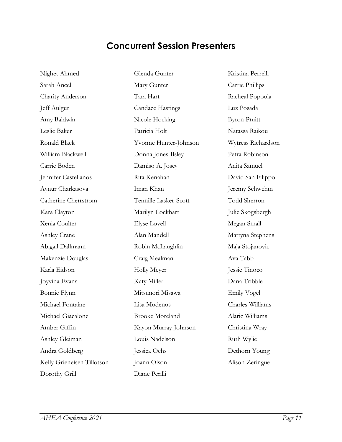## **Concurrent Session Presenters**

<span id="page-10-0"></span>Nighet Ahmed Sarah Ancel Charity Anderson Jeff Aulgur Amy Baldwin Leslie Baker Ronald Black William Blackwell Carrie Boden Jennifer Castellanos Aynur Charkasova Catherine Cherrstrom Kara Clayton Xenia Coulter Ashley Crane Abigail Dallmann Makenzie Douglas Karla Eidson Joyvina Evans Bonnie Flynn Michael Fontaine Michael Giacalone Amber Giffin Ashley Gleiman Andra Goldberg Kelly Grieneisen Tillotson Dorothy Grill

Glenda Gunter Mary Gunter Tara Hart Candace Hastings Nicole Hocking Patricia Holt Yvonne Hunter-Johnson Donna Jones-Ilsley Damiso A. Josey Rita Kenahan Iman Khan Tennille Lasker-Scott Marilyn Lockhart Elyse Lovell Alan Mandell Robin McLaughlin Craig Mealman Holly Meyer Katy Miller Mitsunori Misawa Lisa Modenos Brooke Moreland Kayon Murray-Johnson Louis Nadelson Jessica Ochs Joann Olson Diane Perilli

Kristina Perrelli Carrie Phillips Racheal Popoola Luz Posada Byron Pruitt Natassa Raikou Wytress Richardson Petra Robinson Anita Samuel David San Filippo Jeremy Schwehm Todd Sherron Julie Skogsbergh Megan Small Mattyna Stephens Maja Stojanovic Ava Tabb Jessie Tinoco Dana Tribble Emily Vogel Charles Williams Alaric Williams Christina Wray Ruth Wylie Dethorn Young Alison Zeringue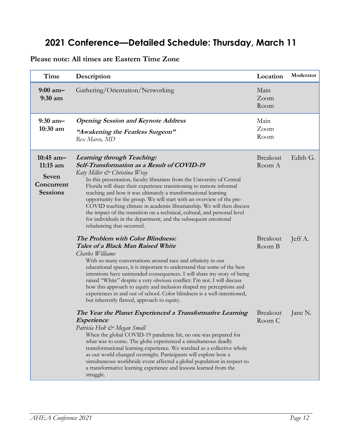## <span id="page-11-0"></span>**2021 Conference—Detailed Schedule: Thursday, March 11**

#### **Please note: All times are Eastern Time Zone**

| Time                                                                | Description                                                                                                                                                                                                                                                                                                                                                                                                                                                                                                                                                                                                                                                            | Location                  | Moderator |
|---------------------------------------------------------------------|------------------------------------------------------------------------------------------------------------------------------------------------------------------------------------------------------------------------------------------------------------------------------------------------------------------------------------------------------------------------------------------------------------------------------------------------------------------------------------------------------------------------------------------------------------------------------------------------------------------------------------------------------------------------|---------------------------|-----------|
| $9:00$ am-<br>9:30 a <sub>m</sub>                                   | Gathering/Orientation/Networking                                                                                                                                                                                                                                                                                                                                                                                                                                                                                                                                                                                                                                       | Main<br>Zoom<br>Room      |           |
| $9:30$ am-<br>$10:30$ am                                            | <b>Opening Session and Keynote Address</b><br>"Awakening the Fearless Surgeon"<br>Rex Marco, MD                                                                                                                                                                                                                                                                                                                                                                                                                                                                                                                                                                        | Main<br>Zoom<br>Room      |           |
| $10:45$ am-<br>$11:15$ am<br>Seven<br>Concurrent<br><b>Sessions</b> | <b>Learning through Teaching:</b><br>Self-Transformation as a Result of COVID-19<br>Katy Miller & Christina Wray<br>In this presentation, faculty librarians from the University of Central<br>Florida will share their experience transitioning to remote informal<br>teaching and how it was ultimately a transformational learning<br>opportunity for the group. We will start with an overview of the pre-<br>COVID teaching climate in academic librarianship. We will then discuss<br>the impact of the transition on a technical, cultural, and personal level<br>for individuals in the department, and the subsequent emotional<br>rebalancing that occurred. | <b>Breakout</b><br>Room A | Edith G.  |
|                                                                     | The Problem with Color Blindness:<br><b>Tales of a Black Man Raised White</b><br>Charles Williams<br>With so many conversations around race and ethnicity in our<br>educational spaces, it is important to understand that some of the best<br>intentions have unintended consequences. I will share my story of being<br>raised "White" despite a very obvious conflict: I'm not. I will discuss<br>how this approach to equity and inclusion shaped my perceptions and<br>experiences in and out of school. Color blindness is a well-intentioned,<br>but inherently flawed, approach to equity.                                                                     | <b>Breakout</b><br>Room B | Jeff A.   |
|                                                                     | The Year the Planet Experienced a Transformative Learning<br><i>Experience</i><br>Patricia Holt & Megan Small<br>When the global COVID-19 pandemic hit, no one was prepared for<br>what was to come. The globe experienced a simultaneous deadly<br>transformational learning experience. We watched as a collective whole<br>as our world changed overnight. Participants will explore how a<br>simultaneous worldwide event affected a global population in respect to<br>a transformative learning experience and lessons learned from the<br>struggle.                                                                                                             | <b>Breakout</b><br>Room C | Jane N.   |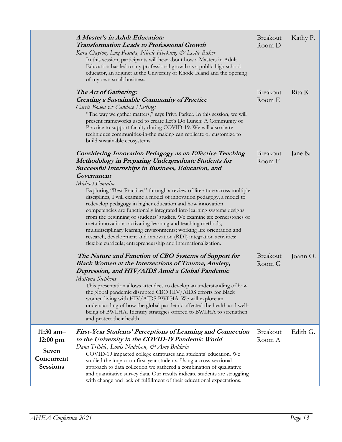|                                                                             | A Master's in Adult Education:<br><b>Transformation Leads to Professional Growth</b><br>Kara Clayton, Luz Posada, Nicole Hocking, & Leslie Baker<br>In this session, participants will hear about how a Masters in Adult<br>Education has led to my professional growth as a public high school<br>educator, an adjunct at the University of Rhode Island and the opening<br>of my own small business.                                                                                                                                                                                                                                                                                                                                                                                                                                                                  | Breakout<br>Room D        | Kathy P. |
|-----------------------------------------------------------------------------|-------------------------------------------------------------------------------------------------------------------------------------------------------------------------------------------------------------------------------------------------------------------------------------------------------------------------------------------------------------------------------------------------------------------------------------------------------------------------------------------------------------------------------------------------------------------------------------------------------------------------------------------------------------------------------------------------------------------------------------------------------------------------------------------------------------------------------------------------------------------------|---------------------------|----------|
|                                                                             | The Art of Gathering:<br><b>Creating a Sustainable Community of Practice</b><br>Carrie Boden & Candace Hastings<br>"The way we gather matters," says Priya Parker. In this session, we will<br>present frameworks used to create Let's Do Lunch: A Community of<br>Practice to support faculty during COVID-19. We will also share<br>techniques communities-in-the making can replicate or customize to<br>build sustainable ecosystems.                                                                                                                                                                                                                                                                                                                                                                                                                               | Breakout<br>Room E        | Rita K.  |
|                                                                             | <b>Considering Innovation Pedagogy as an Effective Teaching</b><br>Methodology in Preparing Undergraduate Students for<br>Successful Internships in Business, Education, and<br>Government<br>Michael Fontaine<br>Exploring "Best Practices" through a review of literature across multiple<br>disciplines, I will examine a model of innovation pedagogy, a model to<br>redevelop pedagogy in higher education and how innovation<br>competencies are functionally integrated into learning systems designs<br>from the beginning of students' studies. We examine six cornerstones of<br>meta-innovations: activating learning and teaching methods;<br>multidisciplinary learning environments; working life orientation and<br>research, development and innovation (RDI) integration activities;<br>flexible curricula; entrepreneurship and internationalization. | <b>Breakout</b><br>Room F | Jane N.  |
|                                                                             | The Nature and Function of CBO Systems of Support for<br><b>Black Women at the Intersections of Trauma, Anxiety,</b><br>Depression, and HIV/AIDS Amid a Global Pandemic<br>Mattyna Stephens<br>This presentation allows attendees to develop an understanding of how<br>the global pandemic disrupted CBO HIV/AIDS efforts for Black<br>women living with HIV/AIDS BWLHA. We will explore an<br>understanding of how the global pandemic affected the health and well-<br>being of BWLHA. Identify strategies offered to BWLHA to strengthen<br>and protect their health.                                                                                                                                                                                                                                                                                               | Breakout<br>Room G        | Joann O. |
| $11:30$ am-<br>$12:00 \text{ pm}$<br>Seven<br>Concurrent<br><b>Sessions</b> | <b>First-Year Students' Perceptions of Learning and Connection</b><br>to the University in the COVID-19 Pandemic World<br>Dana Tribble, Louis Nadelson, & Amy Baldwin<br>COVID-19 impacted college campuses and students' education. We<br>studied the impact on first-year students. Using a cross-sectional<br>approach to data collection we gathered a combination of qualitative<br>and quantitative survey data. Our results indicate students are struggling<br>with change and lack of fulfillment of their educational expectations.                                                                                                                                                                                                                                                                                                                           | <b>Breakout</b><br>Room A | Edith G. |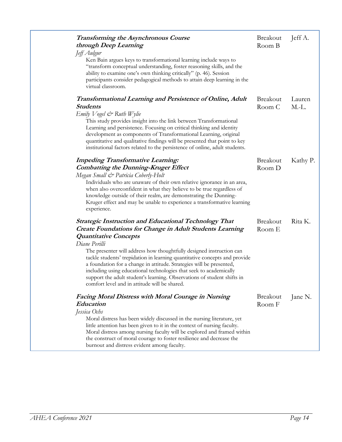| <b>Transforming the Asynchronous Course</b><br>through Deep Learning                                                                                                                                                                                                                                                                                                                                                         | <b>Breakout</b><br>Room B | Jeff A.  |
|------------------------------------------------------------------------------------------------------------------------------------------------------------------------------------------------------------------------------------------------------------------------------------------------------------------------------------------------------------------------------------------------------------------------------|---------------------------|----------|
| Jeff Aulgur                                                                                                                                                                                                                                                                                                                                                                                                                  |                           |          |
| Ken Bain argues keys to transformational learning include ways to<br>"transform conceptual understanding, foster reasoning skills, and the<br>ability to examine one's own thinking critically" (p. 46). Session<br>participants consider pedagogical methods to attain deep learning in the<br>virtual classroom.                                                                                                           |                           |          |
| <b>Transformational Learning and Persistence of Online, Adult</b>                                                                                                                                                                                                                                                                                                                                                            | <b>Breakout</b>           | Lauren   |
| <b>Students</b>                                                                                                                                                                                                                                                                                                                                                                                                              | Room C                    | $M.-L.$  |
| Emily $V$ ogel & Ruth Wylie                                                                                                                                                                                                                                                                                                                                                                                                  |                           |          |
| This study provides insight into the link between Transformational<br>Learning and persistence. Focusing on critical thinking and identity<br>development as components of Transformational Learning, original<br>quantitative and qualitative findings will be presented that point to key<br>institutional factors related to the persistence of online, adult students.                                                   |                           |          |
| <b>Impeding Transformative Learning:</b>                                                                                                                                                                                                                                                                                                                                                                                     | <b>Breakout</b>           | Kathy P. |
| <b>Combatting the Dunning-Kruger Effect</b>                                                                                                                                                                                                                                                                                                                                                                                  | Room D                    |          |
| Megan Small & Patricia Coberly-Holt                                                                                                                                                                                                                                                                                                                                                                                          |                           |          |
| Individuals who are unaware of their own relative ignorance in an area,                                                                                                                                                                                                                                                                                                                                                      |                           |          |
| when also overconfident in what they believe to be true regardless of<br>knowledge outside of their realm, are demonstrating the Dunning-<br>Kruger effect and may be unable to experience a transformative learning<br>experience.                                                                                                                                                                                          |                           |          |
| <b>Strategic Instruction and Educational Technology That</b>                                                                                                                                                                                                                                                                                                                                                                 | <b>Breakout</b>           | Rita K.  |
| Create Foundations for Change in Adult Students Learning                                                                                                                                                                                                                                                                                                                                                                     | Room E                    |          |
| <b>Quantitative Concepts</b>                                                                                                                                                                                                                                                                                                                                                                                                 |                           |          |
| Diane Perilli                                                                                                                                                                                                                                                                                                                                                                                                                |                           |          |
| The presenter will address how thoughtfully designed instruction can<br>tackle students' trepidation in learning quantitative concepts and provide<br>a foundation for a change in attitude. Strategies will be presented,<br>including using educational technologies that seek to academically<br>support the adult student's learning. Observations of student shifts in<br>comfort level and in attitude will be shared. |                           |          |
| <b>Facing Moral Distress with Moral Courage in Nursing</b>                                                                                                                                                                                                                                                                                                                                                                   | Breakout                  | Jane N.  |
| Education                                                                                                                                                                                                                                                                                                                                                                                                                    | Room F                    |          |
| Jessica Ochs                                                                                                                                                                                                                                                                                                                                                                                                                 |                           |          |
| Moral distress has been widely discussed in the nursing literature, yet<br>little attention has been given to it in the context of nursing faculty.<br>Moral distress among nursing faculty will be explored and framed within<br>the construct of moral courage to foster resilience and decrease the<br>burnout and distress evident among faculty.                                                                        |                           |          |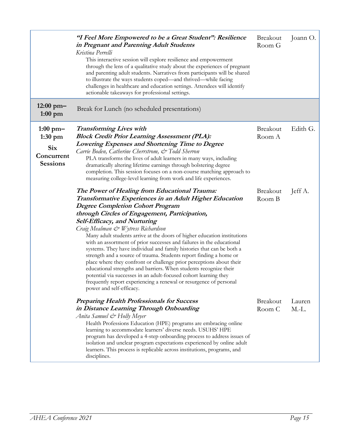|                                                                               | "I Feel More Empowered to be a Great Student": Resilience<br>in Pregnant and Parenting Adult Students<br>Kristina Perrelli<br>This interactive session will explore resilience and empowerment<br>through the lens of a qualitative study about the experiences of pregnant<br>and parenting adult students. Narratives from participants will be shared<br>to illustrate the ways students coped—and thrived—while facing<br>challenges in healthcare and education settings. Attendees will identify<br>actionable takeaways for professional settings.                                                                                                                                                                                                                                                                                                                                         | <b>Breakout</b><br>Room G | Joann O.          |
|-------------------------------------------------------------------------------|---------------------------------------------------------------------------------------------------------------------------------------------------------------------------------------------------------------------------------------------------------------------------------------------------------------------------------------------------------------------------------------------------------------------------------------------------------------------------------------------------------------------------------------------------------------------------------------------------------------------------------------------------------------------------------------------------------------------------------------------------------------------------------------------------------------------------------------------------------------------------------------------------|---------------------------|-------------------|
| $12:00 \text{ pm}$<br>$1:00$ pm                                               | Break for Lunch (no scheduled presentations)                                                                                                                                                                                                                                                                                                                                                                                                                                                                                                                                                                                                                                                                                                                                                                                                                                                      |                           |                   |
| $1:00 \text{ pm}$<br>$1:30$ pm<br><b>Six</b><br>Concurrent<br><b>Sessions</b> | <b>Transforming Lives with</b><br><b>Block Credit Prior Learning Assessment (PLA):</b><br>Lowering Expenses and Shortening Time to Degree<br>Carrie Boden, Catherine Cherrstrom, & Todd Sherron<br>PLA transforms the lives of adult learners in many ways, including<br>dramatically altering lifetime earnings through bolstering degree<br>completion. This session focuses on a non-course matching approach to<br>measuring college-level learning from work and life experiences.                                                                                                                                                                                                                                                                                                                                                                                                           | <b>Breakout</b><br>Room A | Edith G.          |
|                                                                               | The Power of Healing from Educational Trauma:<br>Transformative Experiences in an Adult Higher Education<br><b>Degree Completion Cohort Program</b><br>through Circles of Engagement, Participation,<br>Self-Efficacy, and Nurturing<br>Craig Mealman & Wytress Richardson<br>Many adult students arrive at the doors of higher education institutions<br>with an assortment of prior successes and failures in the educational<br>systems. They have individual and family histories that can be both a<br>strength and a source of trauma. Students report finding a home or<br>place where they confront or challenge prior perceptions about their<br>educational strengths and barriers. When students recognize their<br>potential via successes in an adult-focused cohort learning they<br>frequently report experiencing a renewal or resurgence of personal<br>power and self-efficacy. | <b>Breakout</b><br>Room B | Jeff A.           |
|                                                                               | <b>Preparing Health Professionals for Success</b><br>in Distance Learning Through Onboarding<br>Anita Samuel & Holly Meyer<br>Health Professions Education (HPE) programs are embracing online<br>learning to accommodate learners' diverse needs. USUHS' HPE<br>program has developed a 4-step onboarding process to address issues of<br>isolation and unclear program expectations experienced by online adult<br>learners. This process is replicable across institutions, programs, and<br>disciplines.                                                                                                                                                                                                                                                                                                                                                                                      | <b>Breakout</b><br>Room C | Lauren<br>$M.-L.$ |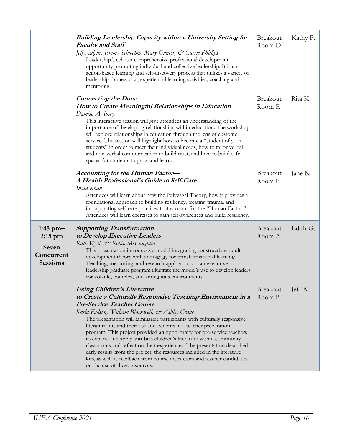|                                                                             | <b>Building Leadership Capacity within a University Setting for</b><br><b>Faculty and Staff</b><br>Jeff Aulgur, Jeremy Schwehm, Mary Gunter, & Carrie Phillips<br>Leadership Tech is a comprehensive professional development<br>opportunity promoting individual and collective leadership. It is an<br>action-based learning and self-discovery process that utilizes a variety of<br>leadership frameworks, experiential learning activities, coaching and<br>mentoring.                                                                                                                                                                                                                                                                                           | Breakout<br>Room D        | Kathy P. |
|-----------------------------------------------------------------------------|-----------------------------------------------------------------------------------------------------------------------------------------------------------------------------------------------------------------------------------------------------------------------------------------------------------------------------------------------------------------------------------------------------------------------------------------------------------------------------------------------------------------------------------------------------------------------------------------------------------------------------------------------------------------------------------------------------------------------------------------------------------------------|---------------------------|----------|
|                                                                             | <b>Connecting the Dots:</b><br>How to Create Meaningful Relationships in Education<br>Damiso A. Josey<br>This interactive session will give attendees an understanding of the<br>importance of developing relationships within education. The workshop<br>will explore relationships in education through the lens of customer<br>service. The session will highlight how to become a "student of your<br>students" in order to meet their individual needs, how to tailor verbal<br>and non-verbal communication to build trust, and how to build safe<br>spaces for students to grow and learn.                                                                                                                                                                     | <b>Breakout</b><br>Room E | Rita K.  |
|                                                                             | Accounting for the Human Factor-<br>A Health Professional's Guide to Self-Care<br>Iman Khan<br>Attendees will learn about how the Polyvagal Theory, how it provides a<br>foundational approach to building resiliency, treating trauma, and<br>incorporating self-care practices that account for the "Human Factor."<br>Attendees will learn exercises to gain self-awareness and build resiliency.                                                                                                                                                                                                                                                                                                                                                                  | <b>Breakout</b><br>Room F | Jane N.  |
| $1:45$ pm $-$<br>$2:15$ pm<br><b>Seven</b><br>Concurrent<br><b>Sessions</b> | <b>Supporting Transformation</b><br>to Develop Executive Leaders<br>Ruth Wylie & Robin McLaughlin<br>This presentation introduces a model integrating constructivist adult<br>development theory with andragogy for transformational learning.<br>Teaching, mentoring, and research applications in an executive<br>leadership graduate program illustrate the model's use to develop leaders<br>for volatile, complex, and ambiguous environments.                                                                                                                                                                                                                                                                                                                   | Breakout<br>Room A        | Edith G. |
|                                                                             | <b>Using Children's Literature</b><br>to Create a Culturally Responsive Teaching Environment in a<br><b>Pre-Service Teacher Course</b><br>Karla Eidson, William Blackwell, & Ashley Crane<br>The presentation will familiarize participants with culturally responsive<br>literature kits and their use and benefits in a teacher preparation<br>program. This project provided an opportunity for pre-service teachers<br>to explore and apply anti-bias children's literature within community<br>classrooms and reflect on their experiences. The presentation described<br>early results from the project, the resources included in the literature<br>kits, as well as feedback from course instructors and teacher candidates<br>on the use of these resources. | Breakout<br>Room B        | Jeff A.  |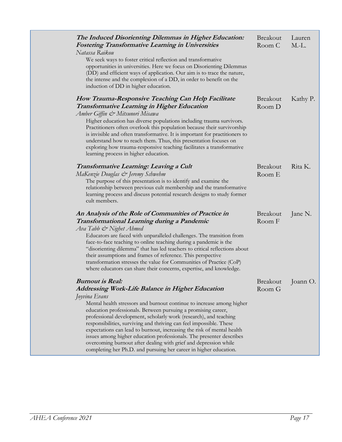| The Induced Disorienting Dilemmas in Higher Education:<br><b>Fostering Transformative Learning in Universities</b><br>Natassa Raikou<br>We seek ways to foster critical reflection and transformative<br>opportunities in universities. Here we focus on Disorienting Dilemmas<br>(DD) and efficient ways of application. Our aim is to trace the nature,<br>the intense and the complexion of a DD, in order to benefit on the<br>induction of DD in higher education.                                                                                                                                                                                                              | <b>Breakout</b><br>Room C | Lauren<br>$M.-L.$ |
|--------------------------------------------------------------------------------------------------------------------------------------------------------------------------------------------------------------------------------------------------------------------------------------------------------------------------------------------------------------------------------------------------------------------------------------------------------------------------------------------------------------------------------------------------------------------------------------------------------------------------------------------------------------------------------------|---------------------------|-------------------|
| How Trauma-Responsive Teaching Can Help Facilitate<br><b>Transformative Learning in Higher Education</b><br>Amber Giffin & Mitsunori Misawa<br>Higher education has diverse populations including trauma survivors.<br>Practitioners often overlook this population because their survivorship<br>is invisible and often transformative. It is important for practitioners to<br>understand how to reach them. Thus, this presentation focuses on<br>exploring how trauma-responsive teaching facilitates a transformative<br>learning process in higher education.                                                                                                                  | <b>Breakout</b><br>Room D | Kathy P.          |
| Transformative Learning: Leaving a Cult<br>MaKenzie Douglas & Jeremy Schwehm<br>The purpose of this presentation is to identify and examine the<br>relationship between previous cult membership and the transformative<br>learning process and discuss potential research designs to study former<br>cult members.                                                                                                                                                                                                                                                                                                                                                                  | Breakout<br>Room E        | Rita K.           |
| An Analysis of the Role of Communities of Practice in<br>Transformational Learning during a Pandemic<br>Ava Tabb & Nighet Ahmed<br>Educators are faced with unparalleled challenges. The transition from<br>face-to-face teaching to online teaching during a pandemic is the<br>"disorienting dilemma" that has led teachers to critical reflections about<br>their assumptions and frames of reference. This perspective<br>transformation stresses the value for Communities of Practice (CoP)<br>where educators can share their concerns, expertise, and knowledge.                                                                                                             | <b>Breakout</b><br>Room F | Jane N.           |
| <b>Burnout is Real:</b><br><b>Addressing Work-Life Balance in Higher Education</b><br>Joyvina Evans<br>Mental health stressors and burnout continue to increase among higher<br>education professionals. Between pursuing a promising career,<br>professional development, scholarly work (research), and teaching<br>responsibilities, surviving and thriving can feel impossible. These<br>expectations can lead to burnout, increasing the risk of mental health<br>issues among higher education professionals. The presenter describes<br>overcoming burnout after dealing with grief and depression while<br>completing her Ph.D. and pursuing her career in higher education. | Room G                    | Breakout Joann O. |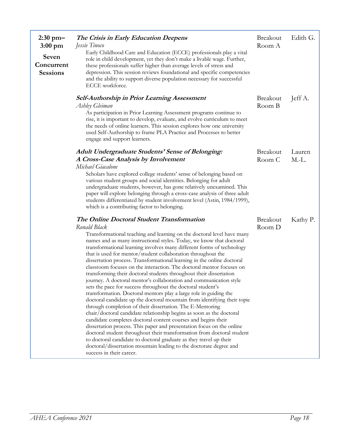| $2:30$ pm $-$<br>$3:00 \text{ pm}$<br>Seven<br>Concurrent<br><b>Sessions</b> | The Crisis in Early Education Deepens<br>Jessie Tinoco<br>Early Childhood Care and Education (ECCE) professionals play a vital<br>role in child development, yet they don't make a livable wage. Further,<br>these professionals suffer higher than average levels of stress and<br>depression. This session reviews foundational and specific competencies<br>and the ability to support diverse population necessary for successful<br>ECCE workforce.                                                                                                                                                                                                                                                                                                                                                                                                                                                                                                                                                                                                                                                                                                                                                                                                                                                                                                                                             | <b>Breakout</b><br>Room A | Edith G.          |
|------------------------------------------------------------------------------|------------------------------------------------------------------------------------------------------------------------------------------------------------------------------------------------------------------------------------------------------------------------------------------------------------------------------------------------------------------------------------------------------------------------------------------------------------------------------------------------------------------------------------------------------------------------------------------------------------------------------------------------------------------------------------------------------------------------------------------------------------------------------------------------------------------------------------------------------------------------------------------------------------------------------------------------------------------------------------------------------------------------------------------------------------------------------------------------------------------------------------------------------------------------------------------------------------------------------------------------------------------------------------------------------------------------------------------------------------------------------------------------------|---------------------------|-------------------|
|                                                                              | <b>Self-Authorship in Prior Learning Assessment</b><br>Ashley Gleiman<br>As participation in Prior Learning Assessment programs continue to<br>rise, it is important to develop, evaluate, and evolve curriculum to meet<br>the needs of online learners. This session explores how one university<br>used Self-Authorship to frame PLA Practice and Processes to better<br>engage and support learners.                                                                                                                                                                                                                                                                                                                                                                                                                                                                                                                                                                                                                                                                                                                                                                                                                                                                                                                                                                                             | <b>Breakout</b><br>Room B | Jeff A.           |
|                                                                              | <b>Adult Undergraduate Students' Sense of Belonging:</b><br>A Cross-Case Analysis by Involvement<br>Michael Giacalone<br>Scholars have explored college students' sense of belonging based on<br>various student groups and social identities. Belonging for adult<br>undergraduate students, however, has gone relatively unexamined. This<br>paper will explore belonging through a cross-case analysis of three adult<br>students differentiated by student involvement level (Astin, 1984/1999),<br>which is a contributing factor to belonging.                                                                                                                                                                                                                                                                                                                                                                                                                                                                                                                                                                                                                                                                                                                                                                                                                                                 | <b>Breakout</b><br>Room C | Lauren<br>$M.-L.$ |
|                                                                              | The Online Doctoral Student Transformation<br>Ronald Black<br>Transformational teaching and learning on the doctoral level have many<br>names and as many instructional styles. Today, we know that doctoral<br>transformational learning involves many different forms of technology<br>that is used for mentor/student collaboration throughout the<br>dissertation process. Transformational learning in the online doctoral<br>classroom focuses on the interaction. The doctoral mentor focuses on<br>transforming their doctoral students throughout their dissertation<br>journey. A doctoral mentor's collaboration and communication style<br>sets the pace for success throughout the doctoral student's<br>transformation. Doctoral mentors play a large role in guiding the<br>doctoral candidate up the doctoral mountain from identifying their topic<br>through completion of their dissertation. The E-Mentoring<br>chair/doctoral candidate relationship begins as soon as the doctoral<br>candidate completes doctoral content courses and begins their<br>dissertation process. This paper and presentation focus on the online<br>doctoral student throughout their transformation from doctoral student<br>to doctoral candidate to doctoral graduate as they travel up their<br>doctoral/dissertation mountain leading to the doctorate degree and<br>success in their career. | <b>Breakout</b><br>Room D | Kathy P.          |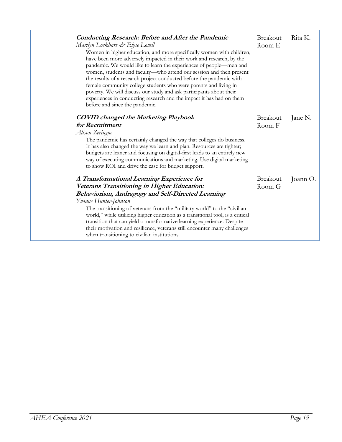| <b>Conducting Research: Before and After the Pandemic</b><br>Marilyn Lockhart & Elyse Lovell<br>Women in higher education, and more specifically women with children,<br>have been more adversely impacted in their work and research, by the<br>pandemic. We would like to learn the experiences of people-men and<br>women, students and faculty-who attend our session and then present<br>the results of a research project conducted before the pandemic with<br>female community college students who were parents and living in<br>poverty. We will discuss our study and ask participants about their<br>experiences in conducting research and the impact it has had on them<br>before and since the pandemic. | Breakout<br>Room E | Rita K.  |
|-------------------------------------------------------------------------------------------------------------------------------------------------------------------------------------------------------------------------------------------------------------------------------------------------------------------------------------------------------------------------------------------------------------------------------------------------------------------------------------------------------------------------------------------------------------------------------------------------------------------------------------------------------------------------------------------------------------------------|--------------------|----------|
| <b>COVID</b> changed the Marketing Playbook                                                                                                                                                                                                                                                                                                                                                                                                                                                                                                                                                                                                                                                                             | <b>Breakout</b>    | Jane N.  |
| for Recruitment                                                                                                                                                                                                                                                                                                                                                                                                                                                                                                                                                                                                                                                                                                         | Room F             |          |
| Alison Zeringue                                                                                                                                                                                                                                                                                                                                                                                                                                                                                                                                                                                                                                                                                                         |                    |          |
| The pandemic has certainly changed the way that colleges do business.<br>It has also changed the way we learn and plan. Resources are tighter;<br>budgets are leaner and focusing on digital-first leads to an entirely new<br>way of executing communications and marketing. Use digital marketing<br>to show ROI and drive the case for budget support.                                                                                                                                                                                                                                                                                                                                                               |                    |          |
| A Transformational Learning Experience for                                                                                                                                                                                                                                                                                                                                                                                                                                                                                                                                                                                                                                                                              | <b>Breakout</b>    | Joann O. |
| Veterans Transitioning in Higher Education:                                                                                                                                                                                                                                                                                                                                                                                                                                                                                                                                                                                                                                                                             | Room G             |          |
| Behaviorism, Andragogy and Self-Directed Learning                                                                                                                                                                                                                                                                                                                                                                                                                                                                                                                                                                                                                                                                       |                    |          |
| Yvonne Hunter-Johnson                                                                                                                                                                                                                                                                                                                                                                                                                                                                                                                                                                                                                                                                                                   |                    |          |
| The transitioning of veterans from the "military world" to the "civilian<br>world," while utilizing higher education as a transitional tool, is a critical<br>transition that can yield a transformative learning experience. Despite<br>their motivation and resilience, veterans still encounter many challenges<br>when transitioning to civilian institutions.                                                                                                                                                                                                                                                                                                                                                      |                    |          |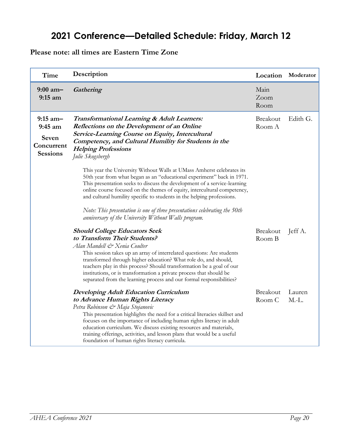## **2021 Conference—Detailed Schedule: Friday, March 12**

<span id="page-19-0"></span>**Please note: all times are Eastern Time Zone**

| Time                                                       | Description                                                                                                                                                                                                                                                                                                                                                                                                                                                                      | Location                  | Moderator         |
|------------------------------------------------------------|----------------------------------------------------------------------------------------------------------------------------------------------------------------------------------------------------------------------------------------------------------------------------------------------------------------------------------------------------------------------------------------------------------------------------------------------------------------------------------|---------------------------|-------------------|
| $9:00$ am-<br>$9:15$ am                                    | Gathering                                                                                                                                                                                                                                                                                                                                                                                                                                                                        | Main<br>Zoom<br>Room      |                   |
| $9:15$ am-<br>$9:45$ am<br>Seven<br>Concurrent<br>Sessions | <b>Transformational Learning &amp; Adult Learners:</b><br><b>Reflections on the Development of an Online</b><br>Service-Learning Course on Equity, Intercultural<br>Competency, and Cultural Humility for Students in the<br><b>Helping Professions</b><br>Julie Skogsbergh                                                                                                                                                                                                      | <b>Breakout</b><br>Room A | Edith G.          |
|                                                            | This year the University Without Walls at UMass Amherst celebrates its<br>50th year from what began as an "educational experiment" back in 1971.<br>This presentation seeks to discuss the development of a service-learning<br>online course focused on the themes of equity, intercultural competency,<br>and cultural humility specific to students in the helping professions.<br>Note: This presentation is one of three presentations celebrating the 50th                 |                           |                   |
|                                                            | anniversary of the University Without Walls program.                                                                                                                                                                                                                                                                                                                                                                                                                             |                           |                   |
|                                                            | <b>Should College Educators Seek</b><br>to Transform Their Students?<br>Alan Mandell & Xenia Coulter<br>This session takes up an array of interrelated questions: Are students<br>transformed through higher education? What role do, and should,<br>teachers play in this process? Should transformation be a goal of our<br>institutions, or is transformation a private process that should be<br>separated from the learning process and our formal responsibilities?        | <b>Breakout</b><br>Room B | Jeff A.           |
|                                                            | <b>Developing Adult Education Curriculum</b><br>to Advance Human Rights Literacy<br>Petra Robinson & Maja Stojanovic<br>This presentation highlights the need for a critical literacies skillset and<br>focuses on the importance of including human rights literacy in adult<br>education curriculum. We discuss existing resources and materials,<br>training offerings, activities, and lesson plans that would be a useful<br>foundation of human rights literacy curricula. | <b>Breakout</b><br>Room C | Lauren<br>$M.-L.$ |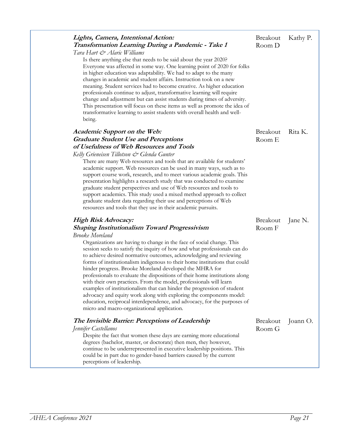| Lights, Camera, Intentional Action:<br>Transformation Learning During a Pandemic - Take 1                                                                                                                         | <b>Breakout</b><br>Room D | Kathy P. |
|-------------------------------------------------------------------------------------------------------------------------------------------------------------------------------------------------------------------|---------------------------|----------|
| Tara Hart & Alaric Williams                                                                                                                                                                                       |                           |          |
| Is there anything else that needs to be said about the year 2020?<br>Everyone was affected in some way. One learning point of 2020 for folks<br>in higher education was adaptability. We had to adapt to the many |                           |          |
| changes in academic and student affairs. Instruction took on a new<br>meaning. Student services had to become creative. As higher education                                                                       |                           |          |
| professionals continue to adjust, transformative learning will require<br>change and adjustment but can assist students during times of adversity.                                                                |                           |          |
| This presentation will focus on these items as well as promote the idea of<br>transformative learning to assist students with overall health and well-                                                            |                           |          |
| being.                                                                                                                                                                                                            |                           |          |
| <b>Academic Support on the Web:</b>                                                                                                                                                                               | <b>Breakout</b>           | Rita K.  |
| <b>Graduate Student Use and Perceptions</b>                                                                                                                                                                       | Room E                    |          |
| of Usefulness of Web Resources and Tools                                                                                                                                                                          |                           |          |
| Kelly Grieneisen Tillotson & Glenda Gunter                                                                                                                                                                        |                           |          |
| There are many Web resources and tools that are available for students'<br>academic support. Web resources can be used in many ways, such as to                                                                   |                           |          |
| support course work, research, and to meet various academic goals. This                                                                                                                                           |                           |          |
| presentation highlights a research study that was conducted to examine                                                                                                                                            |                           |          |
| graduate student perspectives and use of Web resources and tools to                                                                                                                                               |                           |          |
| support academics. This study used a mixed method approach to collect                                                                                                                                             |                           |          |
| graduate student data regarding their use and perceptions of Web                                                                                                                                                  |                           |          |
| resources and tools that they use in their academic pursuits.                                                                                                                                                     |                           |          |
| High Risk Advocacy:                                                                                                                                                                                               | <b>Breakout</b>           | Jane N.  |
| <b>Shaping Institutionalism Toward Progressivism</b>                                                                                                                                                              | Room F                    |          |
| <b>Brooke</b> Moreland                                                                                                                                                                                            |                           |          |
| Organizations are having to change in the face of social change. This                                                                                                                                             |                           |          |
| session seeks to satisfy the inquiry of how and what professionals can do<br>to achieve desired normative outcomes, acknowledging and reviewing                                                                   |                           |          |
| forms of institutionalism indigenous to their home institutions that could                                                                                                                                        |                           |          |
| hinder progress. Brooke Moreland developed the MHRA for                                                                                                                                                           |                           |          |
| professionals to evaluate the dispositions of their home institutions along                                                                                                                                       |                           |          |
| with their own practices. From the model, professionals will learn                                                                                                                                                |                           |          |
| examples of institutionalism that can hinder the progression of student                                                                                                                                           |                           |          |
| advocacy and equity work along with exploring the components model:                                                                                                                                               |                           |          |
|                                                                                                                                                                                                                   |                           |          |
| education, reciprocal interdependence, and advocacy, for the purposes of<br>micro and macro-organizational application.                                                                                           |                           |          |
|                                                                                                                                                                                                                   |                           |          |
| The Invisible Barrier: Perceptions of Leadership                                                                                                                                                                  | <b>Breakout</b>           |          |
|                                                                                                                                                                                                                   | Room G                    |          |
| Jennifer Castellanos<br>Despite the fact that women these days are earning more educational<br>degrees (bachelor, master, or doctorate) then men, they however,                                                   |                           | Joann O. |
| continue to be underrepresented in executive leadership positions. This<br>could be in part due to gender-based barriers caused by the current                                                                    |                           |          |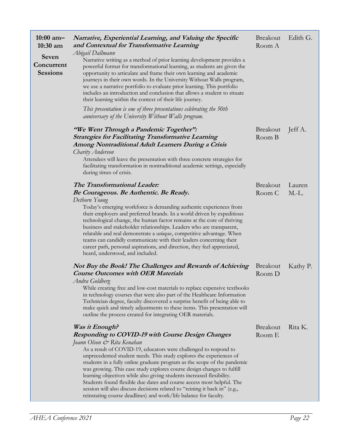| $10:00$ am-<br>$10:30$ am              | Narrative, Experiential Learning, and Valuing the Specific<br>and Contextual for Transformative Learning                                                                                                                                                                                                                                                                                                                                                                                                                                                                                                                                                                                                      | Breakout<br>Room A        | Edith G.          |
|----------------------------------------|---------------------------------------------------------------------------------------------------------------------------------------------------------------------------------------------------------------------------------------------------------------------------------------------------------------------------------------------------------------------------------------------------------------------------------------------------------------------------------------------------------------------------------------------------------------------------------------------------------------------------------------------------------------------------------------------------------------|---------------------------|-------------------|
| Seven<br>Concurrent<br><b>Sessions</b> | Abigail Dallmann<br>Narrative writing as a method of prior learning development provides a<br>powerful format for transformational learning, as students are given the<br>opportunity to articulate and frame their own learning and academic<br>journeys in their own words. In the University Without Walls program,<br>we use a narrative portfolio to evaluate prior learning. This portfolio<br>includes an introduction and conclusion that allows a student to situate<br>their learning within the context of their life journey.                                                                                                                                                                     |                           |                   |
|                                        | This presentation is one of three presentations celebrating the 50th<br>anniversary of the University Without Walls program.                                                                                                                                                                                                                                                                                                                                                                                                                                                                                                                                                                                  |                           |                   |
|                                        | "We Went Through a Pandemic Together":<br><b>Strategies for Facilitating Transformative Learning</b><br>Among Nontraditional Adult Learners During a Crisis<br>Charity Anderson<br>Attendees will leave the presentation with three concrete strategies for<br>facilitating transformation in nontraditional academic settings, especially<br>during times of crisis.                                                                                                                                                                                                                                                                                                                                         | Breakout<br>Room B        | Jeff A.           |
|                                        | The Transformational Leader:<br>Be Courageous. Be Authentic. Be Ready.<br>Dethorn Young<br>Today's emerging workforce is demanding authentic experiences from<br>their employers and preferred brands. In a world driven by expeditious<br>technological change, the human factor remains at the core of thriving<br>business and stakeholder relationships. Leaders who are transparent,<br>relatable and real demonstrate a unique, competitive advantage. When<br>teams can candidly communicate with their leaders concerning their<br>career path, personal aspirations, and direction, they feel appreciated,<br>heard, understood, and included.                                                       | Breakout<br>Room C        | Lauren<br>$M.-L.$ |
|                                        | Not Buy the Book! The Challenges and Rewards of Achieving<br><b>Course Outcomes with OER Materials</b><br>Andra Goldberg<br>While creating free and low-cost materials to replace expensive textbooks<br>in technology courses that were also part of the Healthcare Information<br>Technician degree, faculty discovered a surprise benefit of being able to<br>make quick and timely adjustments to these items. This presentation will<br>outline the process created for integrating OER materials.                                                                                                                                                                                                       | <b>Breakout</b><br>Room D | Kathy P.          |
|                                        | Was it Enough?<br><b>Responding to COVID-19 with Course Design Changes</b><br>Joann Olson & Rita Kenahan<br>As a result of COVID-19, educators were challenged to respond to<br>unprecedented student needs. This study explores the experiences of<br>students in a fully online graduate program as the scope of the pandemic<br>was growing. This case study explores course design changes to fulfill<br>learning objectives while also giving students increased flexibility.<br>Students found flexible due dates and course access most helpful. The<br>session will also discuss decisions related to "reining it back in" (e.g.,<br>reinstating course deadlines) and work/life balance for faculty. | <b>Breakout</b><br>Room E | Rita K.           |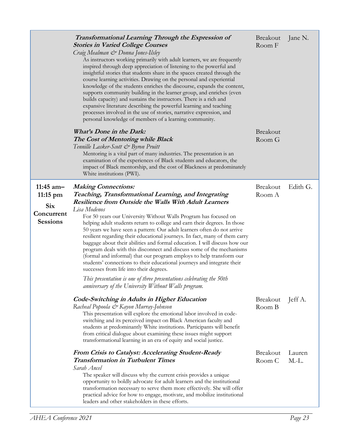|                                                                          | Transformational Learning Through the Expression of<br><b>Stories in Varied College Courses</b><br>Craig Mealman & Donna Jones-Ilsley<br>As instructors working primarily with adult learners, we are frequently<br>inspired through deep appreciation of listening to the powerful and<br>insightful stories that students share in the spaces created through the<br>course learning activities. Drawing on the personal and experiential<br>knowledge of the students enriches the discourse, expands the content,<br>supports community building in the learner group, and enriches (even<br>builds capacity) and sustains the instructors. There is a rich and<br>expansive literature describing the powerful learning and teaching<br>processes involved in the use of stories, narrative expression, and<br>personal knowledge of members of a learning community.                                                                                         | <b>Breakout</b><br>Room F | Jane N.           |
|--------------------------------------------------------------------------|--------------------------------------------------------------------------------------------------------------------------------------------------------------------------------------------------------------------------------------------------------------------------------------------------------------------------------------------------------------------------------------------------------------------------------------------------------------------------------------------------------------------------------------------------------------------------------------------------------------------------------------------------------------------------------------------------------------------------------------------------------------------------------------------------------------------------------------------------------------------------------------------------------------------------------------------------------------------|---------------------------|-------------------|
|                                                                          | <i>What's Done in the Dark:</i><br>The Cost of Mentoring while Black<br>Tennille Lasker-Scott & Byron Pruitt<br>Mentoring is a vital part of many industries. The presentation is an<br>examination of the experiences of Black students and educators, the<br>impact of Black mentorship, and the cost of Blackness at predominately<br>White institutions (PWI).                                                                                                                                                                                                                                                                                                                                                                                                                                                                                                                                                                                                 | <b>Breakout</b><br>Room G |                   |
| 11:45 $am-$<br>$11:15$ pm<br><b>Six</b><br>Concurrent<br><b>Sessions</b> | <b>Making Connections:</b><br>Teaching, Transformational Learning, and Integrating<br><b>Resilience from Outside the Walls With Adult Learners</b><br>Lisa Modenos<br>For 50 years our University Without Walls Program has focused on<br>helping adult students return to college and earn their degrees. In those<br>50 years we have seen a pattern: Our adult learners often do not arrive<br>resilient regarding their educational journeys. In fact, many of them carry<br>baggage about their abilities and formal education. I will discuss how our<br>program deals with this disconnect and discuss some of the mechanisms<br>(formal and informal) that our program employs to help transform our<br>students' connections to their educational journeys and integrate their<br>successes from life into their degrees.<br>This presentation is one of three presentations celebrating the 50th<br>anniversary of the University Without Walls program. | <b>Breakout</b><br>Room A | Edith G.          |
|                                                                          | Code-Switching in Adults in Higher Education<br>Racheal Popoola & Kayon Murray-Johnson<br>This presentation will explore the emotional labor involved in code-<br>switching and its perceived impact on Black American faculty and<br>students at predominantly White institutions. Participants will benefit<br>from critical dialogue about examining these issues might support<br>transformational learning in an era of equity and social justice.                                                                                                                                                                                                                                                                                                                                                                                                                                                                                                            | <b>Breakout</b><br>Room B | Jeff A.           |
|                                                                          | From Crisis to Catalyst: Accelerating Student-Ready<br><b>Transformation in Turbulent Times</b><br>Sarah Ancel<br>The speaker will discuss why the current crisis provides a unique<br>opportunity to boldly advocate for adult learners and the institutional<br>transformation necessary to serve them more effectively. She will offer<br>practical advice for how to engage, motivate, and mobilize institutional<br>leaders and other stakeholders in these efforts.                                                                                                                                                                                                                                                                                                                                                                                                                                                                                          | <b>Breakout</b><br>Room C | Lauren<br>$M.-L.$ |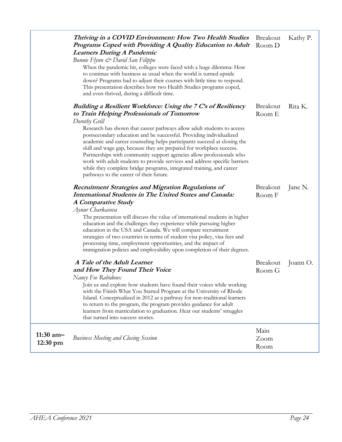|                                   | Thriving in a COVID Environment: How Two Health Studies<br>Programs Coped with Providing A Quality Education to Adult<br><b>Learners During A Pandemic</b><br>Bonnie Flynn & David San Filippo<br>When the pandemic hit, colleges were faced with a huge dilemma: How<br>to continue with business as usual when the world is turned upside<br>down? Programs had to adjust their courses with little time to respond.<br>This presentation describes how two Health Studies programs coped,<br>and even thrived, during a difficult time.                                                                                                                                                                 | Breakout<br>Room D        | Kathy P. |
|-----------------------------------|------------------------------------------------------------------------------------------------------------------------------------------------------------------------------------------------------------------------------------------------------------------------------------------------------------------------------------------------------------------------------------------------------------------------------------------------------------------------------------------------------------------------------------------------------------------------------------------------------------------------------------------------------------------------------------------------------------|---------------------------|----------|
|                                   | Building a Resilient Workforce: Using the 7 C's of Resiliency<br>to Train Helping Professionals of Tomorrow<br>Dorothy Grill<br>Research has shown that career pathways allow adult students to access<br>postsecondary education and be successful. Providing individualized<br>academic and career counseling helps participants succeed at closing the<br>skill and wage gap, because they are prepared for workplace success.<br>Partnerships with community support agencies allow professionals who<br>work with adult students to provide services and address specific barriers<br>while they complete bridge programs, integrated training, and career<br>pathways to the career of their future. | <b>Breakout</b><br>Room E | Rita K.  |
|                                   | <b>Recruitment Strategies and Migration Regulations of</b><br><b>International Students in The United States and Canada:</b><br>A Comparative Study<br>Aynur Charkasova<br>The presentation will discuss the value of international students in higher<br>education and the challenges they experience while pursuing higher<br>education in the USA and Canada. We will compare recruitment<br>strategies of two countries in terms of student visa policy, visa fees and<br>processing time, employment opportunities, and the impact of<br>immigration policies and employability upon completion of their degrees.                                                                                     | <b>Breakout</b><br>Room F | Jane N.  |
|                                   | A Tale of the Adult Learner<br>and How They Found Their Voice<br>Nancy Fee Rabidoux<br>Join us and explore how students have found their voices while working<br>with the Finish What You Started Program at the University of Rhode<br>Island. Conceptualized in 2012 as a pathway for non-traditional learners<br>to return to the program, the program provides guidance for adult<br>learners from matriculation to graduation. Hear our students' struggles<br>that turned into success stories.                                                                                                                                                                                                      | <b>Breakout</b><br>Room G | Joann O. |
| $11:30$ am-<br>$12:30 \text{ pm}$ | <b>Business Meeting and Closing Session</b>                                                                                                                                                                                                                                                                                                                                                                                                                                                                                                                                                                                                                                                                | Main<br>Zoom<br>Room      |          |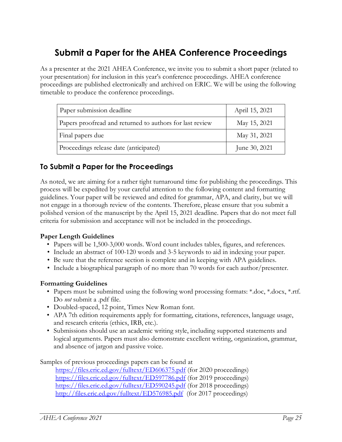## <span id="page-24-0"></span>**Submit a Paper for the AHEA Conference Proceedings**

As a presenter at the 2021 AHEA Conference, we invite you to submit a short paper (related to your presentation) for inclusion in this year's conference proceedings. AHEA conference proceedings are published electronically and archived on ERIC. We will be using the following timetable to produce the conference proceedings.

| Paper submission deadline                                | April 15, 2021 |
|----------------------------------------------------------|----------------|
| Papers proofread and returned to authors for last review | May 15, 2021   |
| Final papers due                                         | May 31, 2021   |
| Proceedings release date (anticipated)                   | June 30, 2021  |

#### **To Submit a Paper for the Proceedings**

As noted, we are aiming for a rather tight turnaround time for publishing the proceedings. This process will be expedited by your careful attention to the following content and formatting guidelines. Your paper will be reviewed and edited for grammar, APA, and clarity, but we will not engage in a thorough review of the contents. Therefore, please ensure that you submit a polished version of the manuscript by the April 15, 2021 deadline. Papers that do not meet full criteria for submission and acceptance will not be included in the proceedings.

#### **Paper Length Guidelines**

- Papers will be 1,500-3,000 words. Word count includes tables, figures, and references.
- Include an abstract of 100-120 words and 3-5 keywords to aid in indexing your paper.
- Be sure that the reference section is complete and in keeping with APA guidelines.
- Include a biographical paragraph of no more than 70 words for each author/presenter.

#### **Formatting Guidelines**

- Papers must be submitted using the following word processing formats: \*.doc, \*.docx, \*.rtf. Do *not* submit a .pdf file.
- Doubled-spaced, 12 point, Times New Roman font.
- APA 7th edition requirements apply for formatting, citations, references, language usage, and research criteria (ethics, IRB, etc.).
- Submissions should use an academic writing style, including supported statements and logical arguments. Papers must also demonstrate excellent writing, organization, grammar, and absence of jargon and passive voice.

Samples of previous proceedings papers can be found at

<https://files.eric.ed.gov/fulltext/ED606375.pdf> (for 2020 proceedings) <https://files.eric.ed.gov/fulltext/ED597786.pdf> (for 2019 proceedings) <https://files.eric.ed.gov/fulltext/ED590245.pdf> (for 2018 proceedings) <http://files.eric.ed.gov/fulltext/ED576985.pdf>(for 2017 proceedings)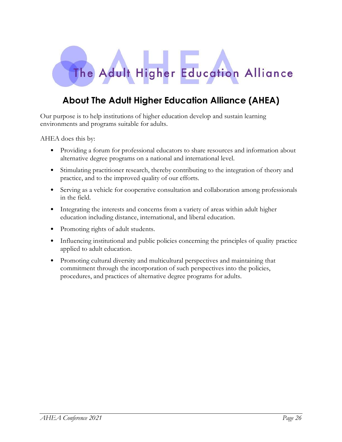

## <span id="page-25-0"></span>**About The Adult Higher Education Alliance (AHEA)**

Our purpose is to help institutions of higher education develop and sustain learning environments and programs suitable for adults.

AHEA does this by:

- Providing a forum for professional educators to share resources and information about alternative degree programs on a national and international level.
- Stimulating practitioner research, thereby contributing to the integration of theory and practice, and to the improved quality of our efforts.
- Serving as a vehicle for cooperative consultation and collaboration among professionals in the field.
- Integrating the interests and concerns from a variety of areas within adult higher education including distance, international, and liberal education.
- Promoting rights of adult students.
- Influencing institutional and public policies concerning the principles of quality practice applied to adult education.
- Promoting cultural diversity and multicultural perspectives and maintaining that commitment through the incorporation of such perspectives into the policies, procedures, and practices of alternative degree programs for adults.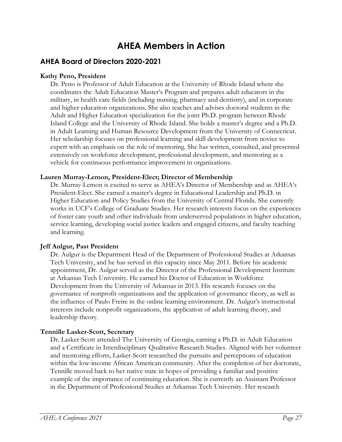## **AHEA Members in Action**

#### <span id="page-26-0"></span>**AHEA Board of Directors 2020-2021**

#### **Kathy Peno, President**

Dr. Peno is Professor of Adult Education at the University of Rhode Island where she coordinates the Adult Education Master's Program and prepares adult educators in the military, in health care fields (including nursing, pharmacy and dentistry), and in corporate and higher education organizations. She also teaches and advises doctoral students in the Adult and Higher Education specialization for the joint Ph.D. program between Rhode Island College and the University of Rhode Island. She holds a master's degree and a Ph.D. in Adult Learning and Human Resource Development from the University of Connecticut. Her scholarship focuses on professional learning and skill development from novice to expert with an emphasis on the role of mentoring. She has written, consulted, and presented extensively on workforce development, professional development, and mentoring as a vehicle for continuous performance improvement in organizations.

#### **Lauren Murray-Lemon, President-Elect; Director of Membership**

Dr. Murray-Lemon is excited to serve as AHEA's Director of Membership and as AHEA's President-Elect. She earned a master's degree in Educational Leadership and Ph.D. in Higher Education and Policy Studies from the University of Central Florida. She currently works in UCF's College of Graduate Studies. Her research interests focus on the experiences of foster care youth and other individuals from underserved populations in higher education, service learning, developing social justice leaders and engaged citizens, and faculty teaching and learning.

#### **Jeff Aulgur, Past President**

Dr. Aulgur is the Department Head of the Department of Professional Studies at Arkansas Tech University, and he has served in this capacity since May 2011. Before his academic appointment, Dr. Aulgur served as the Director of the Professional Development Institute at Arkansas Tech University. He earned his Doctor of Education in Workforce Development from the University of Arkansas in 2013. His research focuses on the governance of nonprofit organizations and the application of governance theory, as well as the influence of Paulo Freire in the online learning environment. Dr. Aulgur's instructional interests include nonprofit organizations, the application of adult learning theory, and leadership theory.

#### **Tennille Lasker-Scott, Secretary**

Dr. Lasker-Scott attended The University of Georgia, earning a Ph.D. in Adult Education and a Certificate in Interdisciplinary Qualitative Research Studies. Aligned with her volunteer and mentoring efforts, Lasker-Scott researched the pursuits and perceptions of education within the low-income African American community. After the completion of her doctorate, Tennille moved back to her native state in hopes of providing a familiar and positive example of the importance of continuing education. She is currently an Assistant Professor in the Department of Professional Studies at Arkansas Tech University. Her research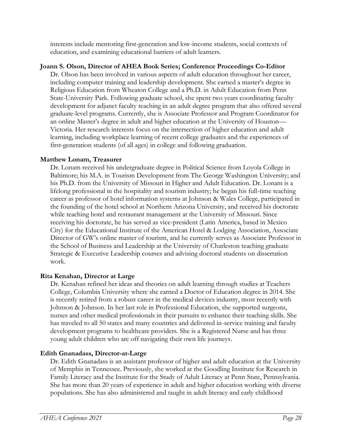interests include mentoring first-generation and low-income students, social contexts of education, and examining educational barriers of adult learners.

#### **Joann S. Olson, Director of AHEA Book Series; Conference Proceedings Co-Editor**

Dr. Olson has been involved in various aspects of adult education throughout her career, including computer training and leadership development. She earned a master's degree in Religious Education from Wheaton College and a Ph.D. in Adult Education from Penn State-University Park. Following graduate school, she spent two years coordinating faculty development for adjunct faculty teaching in an adult degree program that also offered several graduate-level programs. Currently, she is Associate Professor and Program Coordinator for an online Master's degree in adult and higher education at the University of Houston— Victoria. Her research interests focus on the intersection of higher education and adult learning, including workplace learning of recent college graduates and the experiences of first-generation students (of all ages) in college and following graduation.

#### **Matthew Lonam, Treasurer**

Dr. Lonam received his undergraduate degree in Political Science from Loyola College in Baltimore; his M.A. in Tourism Development from The George Washington University; and his Ph.D. from the University of Missouri in Higher and Adult Education. Dr. Lonam is a lifelong professional in the hospitality and tourism industry; he began his full-time teaching career as professor of hotel information systems at Johnson & Wales College, participated in the founding of the hotel school at Northern Arizona University, and received his doctorate while teaching hotel and restaurant management at the University of Missouri. Since receiving his doctorate, he has served as vice-president (Latin America, based in Mexico City) for the Educational Institute of the American Hotel & Lodging Association, Associate Director of GW's online master of tourism, and he currently serves as Associate Professor in the School of Business and Leadership at the University of Charleston teaching graduate Strategic & Executive Leadership courses and advising doctoral students on dissertation work.

#### **Rita Kenahan, Director at Large**

Dr. Kenahan refined her ideas and theories on adult learning through studies at Teachers College, Columbia University where she earned a Doctor of Education degree in 2014. She is recently retired from a robust career in the medical devices industry, most recently with Johnson & Johnson. In her last role in Professional Education, she supported surgeons, nurses and other medical professionals in their pursuits to enhance their teaching skills. She has traveled to all 50 states and many countries and delivered in-service training and faculty development programs to healthcare providers. She is a Registered Nurse and has three young adult children who are off navigating their own life journeys.

#### **Edith Gnanadass, Director-at-Large**

Dr. Edith Gnanadass is an assistant professor of higher and adult education at the University of Memphis in Tennessee. Previously, she worked at the Goodling Institute for Research in Family Literacy and the Institute for the Study of Adult Literacy at Penn State, Pennsylvania. She has more than 20 years of experience in adult and higher education working with diverse populations. She has also administered and taught in adult literacy and early childhood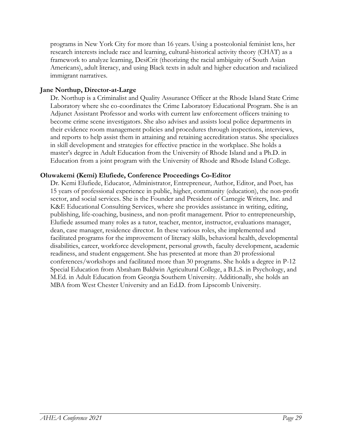programs in New York City for more than 16 years. Using a postcolonial feminist lens, her research interests include race and learning, cultural-historical activity theory (CHAT) as a framework to analyze learning, DesiCrit (theorizing the racial ambiguity of South Asian Americans), adult literacy, and using Black texts in adult and higher education and racialized immigrant narratives.

#### **Jane Northup, Director-at-Large**

Dr. Northup is a Criminalist and Quality Assurance Officer at the Rhode Island State Crime Laboratory where she co-coordinates the Crime Laboratory Educational Program. She is an Adjunct Assistant Professor and works with current law enforcement officers training to become crime scene investigators. She also advises and assists local police departments in their evidence room management policies and procedures through inspections, interviews, and reports to help assist them in attaining and retaining accreditation status. She specializes in skill development and strategies for effective practice in the workplace. She holds a master's degree in Adult Education from the University of Rhode Island and a Ph.D. in Education from a joint program with the University of Rhode and Rhode Island College.

#### **Oluwakemi (Kemi) Elufiede, Conference Proceedings Co-Editor**

Dr. Kemi Elufiede, Educator, Administrator, Entrepreneur, Author, Editor, and Poet, has 15 years of professional experience in public, higher, community (education), the non-profit sector, and social services. She is the Founder and President of Carnegie Writers, Inc. and K&E Educational Consulting Services, where she provides assistance in writing, editing, publishing, life-coaching, business, and non-profit management. Prior to entrepreneurship, Elufiede assumed many roles as a tutor, teacher, mentor, instructor, evaluations manager, dean, case manager, residence director. In these various roles, she implemented and facilitated programs for the improvement of literacy skills, behavioral health, developmental disabilities, career, workforce development, personal growth, faculty development, academic readiness, and student engagement. She has presented at more than 20 professional conferences/workshops and facilitated more than 30 programs. She holds a degree in P-12 Special Education from Abraham Baldwin Agricultural College, a B.L.S. in Psychology, and M.Ed. in Adult Education from Georgia Southern University. Additionally, she holds an MBA from West Chester University and an Ed.D. from Lipscomb University.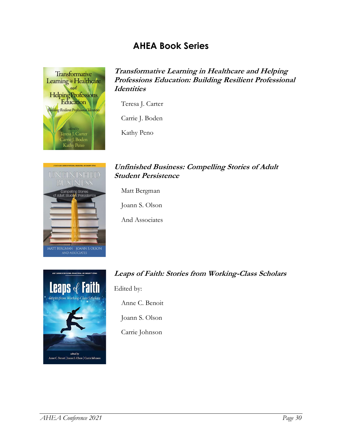## **AHEA Book Series**

<span id="page-29-0"></span>

**Transformative Learning in Healthcare and Helping Professions Education: Building Resilient Professional Identities**

Teresa J. Carter

Carrie J. Boden

Kathy Peno



#### **Unfinished Business: Compelling Stories of Adult Student Persistence**

Matt Bergman

Joann S. Olson

And Associates



#### **Leaps of Faith: Stories from Working-Class Scholars**

Edited by:

Anne C. Benoit

Joann S. Olson

Carrie Johnson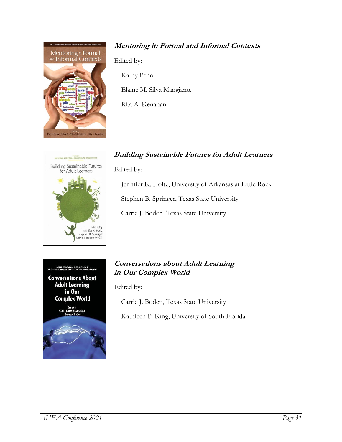

#### **Mentoring in Formal and Informal Contexts**

Edited by:

Kathy Peno

Elaine M. Silva Mangiante

Rita A. Kenahan

#### **Building Sustainable Futures for Adult Learners**



Edited by:

Jennifer K. Holtz, University of Arkansas at Little Rock Stephen B. Springer, Texas State University

Carrie J. Boden, Texas State University



#### **Conversations about Adult Learning in Our Complex World**

Edited by:

Carrie J. Boden, Texas State University

Kathleen P. King, University of South Florida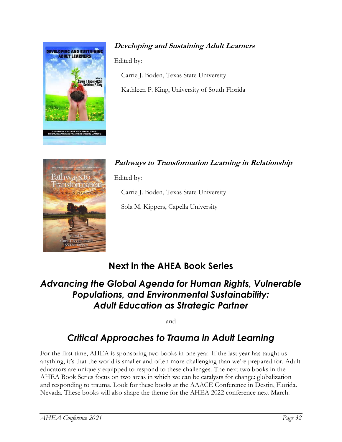

### **Developing and Sustaining Adult Learners**

Edited by:

Carrie J. Boden, Texas State University Kathleen P. King, University of South Florida



**Pathways to Transformation Learning in Relationship** Edited by:

Carrie J. Boden, Texas State University

Sola M. Kippers, Capella University

## **Next in the AHEA Book Series**

## <span id="page-31-0"></span>*Advancing the Global Agenda for Human Rights, Vulnerable Populations, and Environmental Sustainability: Adult Education as Strategic Partner*

and

## *Critical Approaches to Trauma in Adult Learning*

For the first time, AHEA is sponsoring two books in one year. If the last year has taught us anything, it's that the world is smaller and often more challenging than we're prepared for. Adult educators are uniquely equipped to respond to these challenges. The next two books in the AHEA Book Series focus on two areas in which we can be catalysts for change: globalization and responding to trauma. Look for these books at the AAACE Conference in Destin, Florida. Nevada. These books will also shape the theme for the AHEA 2022 conference next March.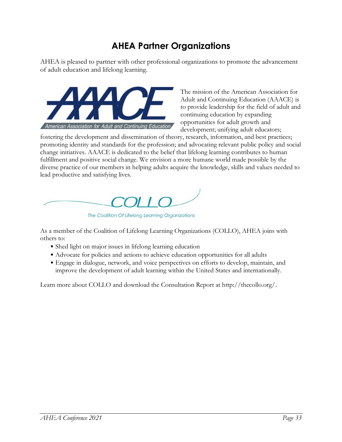## **AHEA Partner Organizations**

<span id="page-32-0"></span>AHEA is pleased to partner with other professional organizations to promote the advancement of adult education and lifelong learning.



The mission of the American Association for Adult and Continuing Education (AAACE) is to provide leadership for the field of adult and continuing education by expanding opportunities for adult growth and development; unifying adult educators;

fostering the development and dissemination of theory, research, information, and best practices; promoting identity and standards for the profession; and advocating relevant public policy and social change initiatives. AAACE is dedicated to the belief that lifelong learning contributes to human fulfillment and positive social change. We envision a more humane world made possible by the diverse practice of our members in helping adults acquire the knowledge, skills and values needed to lead productive and satisfying lives.



The Coalition Of Lifelong Learning Organizations

As a member of the Coalition of Lifelong Learning Organizations (COLLO), AHEA joins with others to:

- Shed light on major issues in lifelong learning education
- Advocate for policies and actions to achieve education opportunities for all adults
- Engage in dialogue, network, and voice perspectives on efforts to develop, maintain, and improve the development of adult learning within the United States and internationally.

Learn more about COLLO and download the Consultation Report at http://thecollo.org/.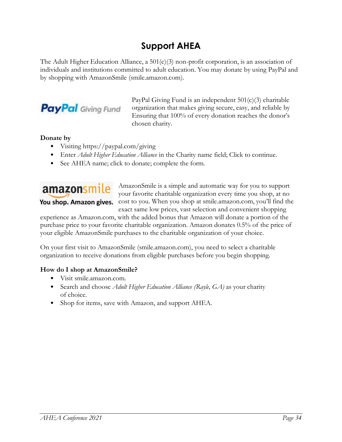## **Support AHEA**

<span id="page-33-0"></span>The Adult Higher Education Alliance, a  $501(c)(3)$  non-profit corporation, is an association of individuals and institutions committed to adult education. You may donate by using PayPal and by shopping with AmazonSmile (smile.amazon.com).



PayPal Giving Fund is an independent 501(c)(3) charitable organization that makes giving secure, easy, and reliable by Ensuring that 100% of every donation reaches the donor's chosen charity.

#### **Donate by**

- Visiting https://paypal.com/giving
- Enter *Adult Higher Education Alliance* in the Charity name field; Click to continue.
- See AHEA name; click to donate; complete the form.



AmazonSmile is a simple and automatic way for you to support your favorite charitable organization every time you shop, at no **You shop. Amazon gives.** cost to you. When you shop at smile.amazon.com, you'll find the exact same low prices, vast selection and convenient shopping

experience as Amazon.com, with the added bonus that Amazon will donate a portion of the purchase price to your favorite charitable organization. Amazon donates 0.5% of the price of your eligible AmazonSmile purchases to the charitable organization of your choice.

On your first visit to AmazonSmile (smile.amazon.com), you need to select a charitable organization to receive donations from eligible purchases before you begin shopping.

#### **How do I shop at AmazonSmile?**

- Visit smile.amazon.com.
- Search and choose *Adult Higher Education Alliance (Rayle, GA)* as your charity of choice.
- Shop for items, save with Amazon, and support AHEA.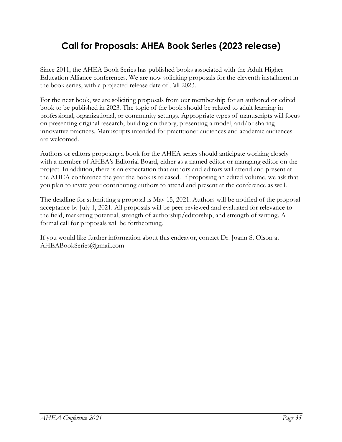## <span id="page-34-0"></span>**Call for Proposals: AHEA Book Series (2023 release)**

Since 2011, the AHEA Book Series has published books associated with the Adult Higher Education Alliance conferences. We are now soliciting proposals for the eleventh installment in the book series, with a projected release date of Fall 2023.

For the next book, we are soliciting proposals from our membership for an authored or edited book to be published in 2023. The topic of the book should be related to adult learning in professional, organizational, or community settings. Appropriate types of manuscripts will focus on presenting original research, building on theory, presenting a model, and/or sharing innovative practices. Manuscripts intended for practitioner audiences and academic audiences are welcomed.

Authors or editors proposing a book for the AHEA series should anticipate working closely with a member of AHEA's Editorial Board, either as a named editor or managing editor on the project. In addition, there is an expectation that authors and editors will attend and present at the AHEA conference the year the book is released. If proposing an edited volume, we ask that you plan to invite your contributing authors to attend and present at the conference as well.

The deadline for submitting a proposal is May 15, 2021. Authors will be notified of the proposal acceptance by July 1, 2021. All proposals will be peer-reviewed and evaluated for relevance to the field, marketing potential, strength of authorship/editorship, and strength of writing. A formal call for proposals will be forthcoming.

If you would like further information about this endeavor, contact Dr. Joann S. Olson at AHEABookSeries@gmail.com